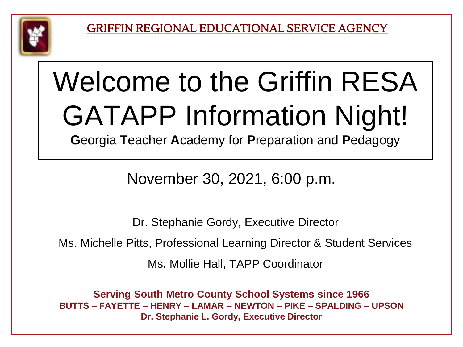

# Welcome to the Griffin RESA GATAPP Information Night!

**G**eorgia **T**eacher **A**cademy for **P**reparation and **P**edagogy

November 30, 2021, 6:00 p.m.

Dr. Stephanie Gordy, Executive Director

Ms. Michelle Pitts, Professional Learning Director & Student Services

Ms. Mollie Hall, TAPP Coordinator

**Serving South Metro County School Systems since 1966 BUTTS – FAYETTE – HENRY – LAMAR – NEWTON – PIKE – SPALDING – UPSON Dr. Stephanie L. Gordy, Executive Director**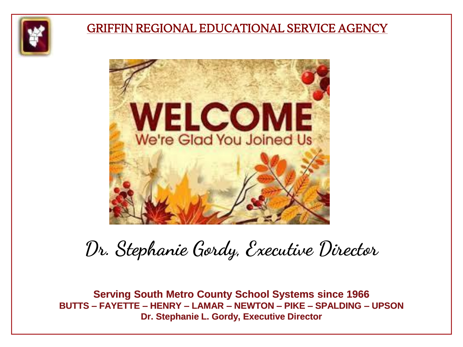



### **Dr. Stephanie Gordy, Executive Director**

**Serving South Metro County School Systems since 1966 BUTTS – FAYETTE – HENRY – LAMAR – NEWTON – PIKE – SPALDING – UPSON Dr. Stephanie L. Gordy, Executive Director**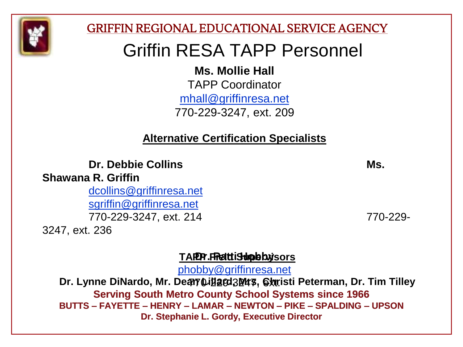

#### Griffin RESA TAPP Personnel

**Ms. Mollie Hall** TAPP Coordinator [mhall@griffinresa.net](mailto:mhall@griffinresa.net) 770-229-3247, ext. 209

#### **Alternative Certification Specialists**

#### **Dr. Debbie Collins Ms.**

**Shawana R. Griffin** 

[dcollins@griffinresa.net](mailto:dcollins@griffinresa.net) [sgriffin@griffinresa.net](mailto:sgriffin@griffinresa.net) 770-229-3247, ext. 214 770-229-

3247, ext. 236

#### **TAPP Field Supervisors Dr. Patti Hobby**

[phobby@griffinresa.net](mailto:phobby@griffinresa.net)

**Serving South Metro County School Systems since 1966 BUTTS – FAYETTE – HENRY – LAMAR – NEWTON – PIKE – SPALDING – UPSON Dr. Stephanie L. Gordy, Executive Director** Dr. Lynne DiNardo, Mr. Deary Li<u>lla</u> ed 3Mts, Garisti Peterman, Dr. Tim Tilley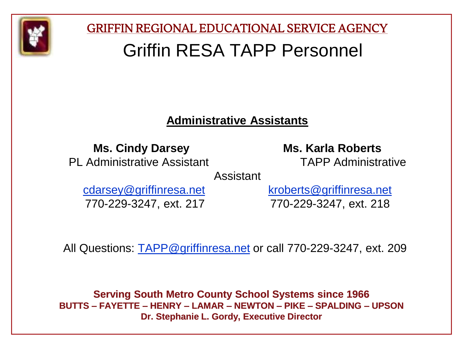

#### Griffin RESA TAPP Personnel

**Administrative Assistants**

**Ms. Cindy Darsey Ms. Karla Roberts** 

PL Administrative Assistant TAPP Administrative

Assistant

770-229-3247, ext. 217 770-229-3247, ext. 218

[cdarsey@griffinresa.net](mailto:cdarsey@griffinresa.net) [kroberts@griffinresa.net](mailto:kroberts@griffinresa.net)

All Questions: [TAPP@griffinresa.net](mailto:TAPP@griffinresa.net) or call 770-229-3247, ext. 209

**Serving South Metro County School Systems since 1966 BUTTS – FAYETTE – HENRY – LAMAR – NEWTON – PIKE – SPALDING – UPSON Dr. Stephanie L. Gordy, Executive Director**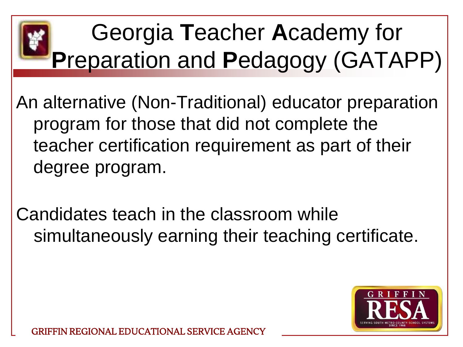### Georgia **T**eacher **A**cademy for **P**reparation and **P**edagogy (GATAPP)

An alternative (Non-Traditional) educator preparation program for those that did not complete the teacher certification requirement as part of their degree program.

Candidates teach in the classroom while simultaneously earning their teaching certificate.

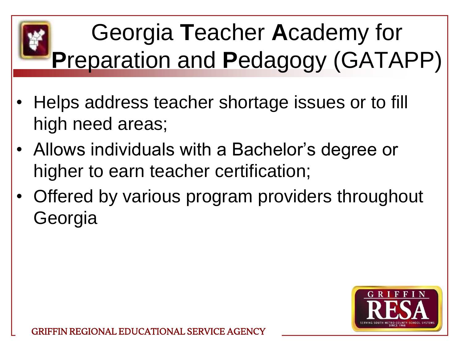### Georgia **T**eacher **A**cademy for **P**reparation and **P**edagogy (GATAPP)

- Helps address teacher shortage issues or to fill high need areas;
- Allows individuals with a Bachelor's degree or higher to earn teacher certification;
- Offered by various program providers throughout Georgia

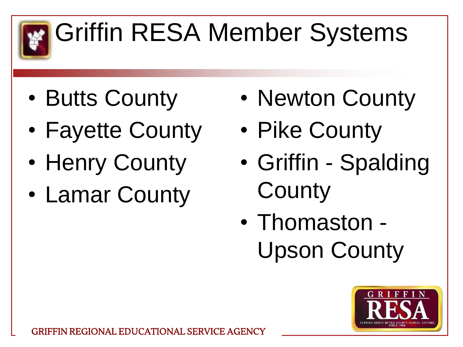

## Griffin RESA Member Systems

- Butts County
- Fayette County
- Henry County
- Lamar County
- Newton County
- Pike County
- Griffin Spalding **County**
- Thomaston Upson County

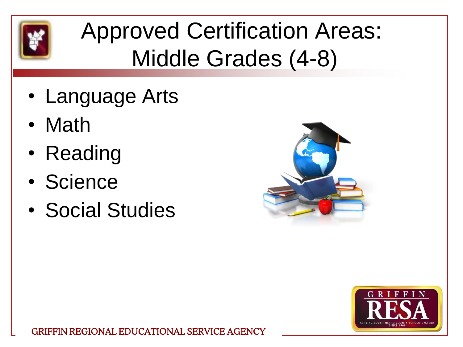

### Approved Certification Areas: Middle Grades (4-8)

- Language Arts
- Math
- Reading
- Science
- Social Studies



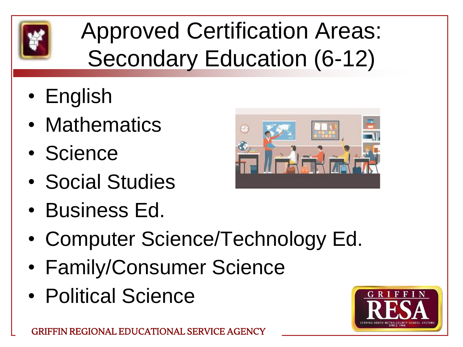

### Approved Certification Areas: Secondary Education (6-12)

- English
- Mathematics
- Science
- Social Studies
- Business Ed.



- Computer Science/Technology Ed.
- Family/Consumer Science
- Political Science

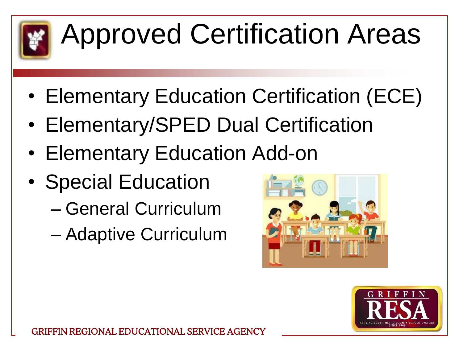

# Approved Certification Areas

- Elementary Education Certification (ECE)
- Elementary/SPED Dual Certification
- Elementary Education Add-on
- Special Education
	- General Curriculum
	- Adaptive Curriculum



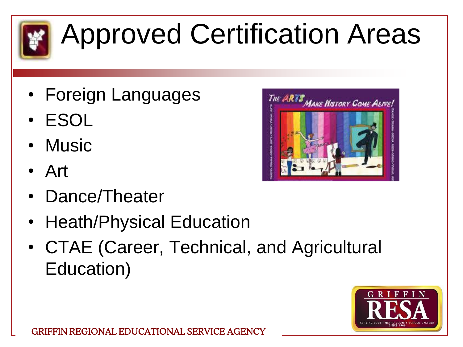

# Approved Certification Areas

- Foreign Languages
- ESOL
- Music
- Art
- Dance/Theater
- Heath/Physical Education
- CTAE (Career, Technical, and Agricultural Education)



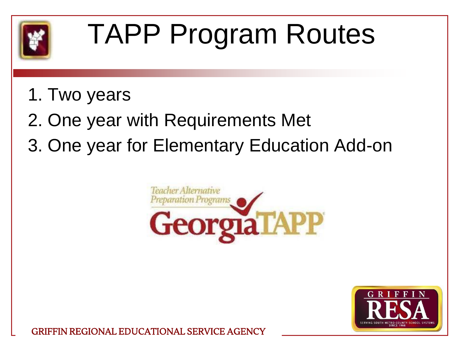

# TAPP Program Routes

- 1. Two years
- 2. One year with Requirements Met
- 3. One year for Elementary Education Add-on



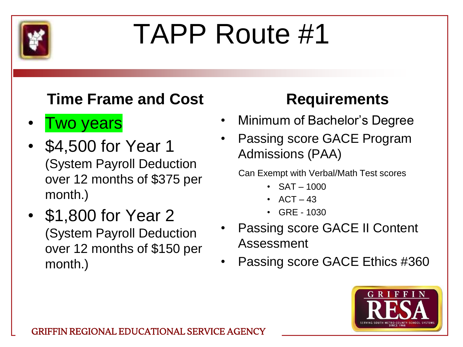

### TAPP Route #1

#### **Time Frame and Cost**

- **Two years**
- \$4,500 for Year 1 (System Payroll Deduction over 12 months of \$375 per month.)
- \$1,800 for Year 2 (System Payroll Deduction over 12 months of \$150 per month.)

#### **Requirements**

- Minimum of Bachelor's Degree
- Passing score GACE Program Admissions (PAA)

Can Exempt with Verbal/Math Test scores

- $SAT 1000$
- $ACT-43$
- $\cdot$  GRE 1030
- Passing score GACE II Content Assessment
- Passing score GACE Ethics #360

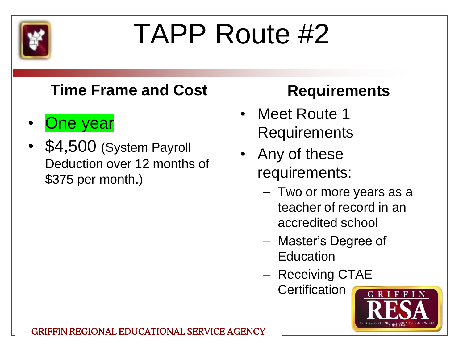

### TAPP Route #2

#### **Time Frame and Cost**

- **One year**
- \$4,500 (System Payroll Deduction over 12 months of \$375 per month.)

#### **Requirements**

- Meet Route 1 Requirements
- Any of these requirements:
	- Two or more years as a teacher of record in an accredited school
	- Master's Degree of **Education**
	- Receiving CTAE **Certification**

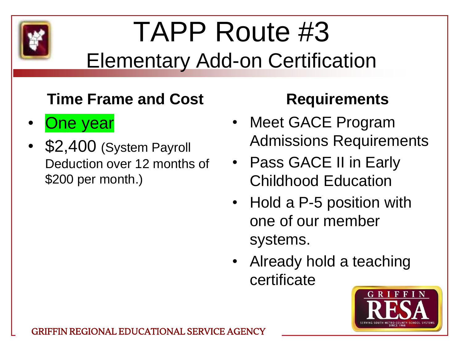

### TAPP Route #3 Elementary Add-on Certification

#### **Time Frame and Cost**

- **One year**
- \$2,400 (System Payroll Deduction over 12 months of \$200 per month.)

#### **Requirements**

- Meet GACE Program Admissions Requirements
- Pass GACE II in Early Childhood Education
- Hold a P-5 position with one of our member systems.
- Already hold a teaching certificate

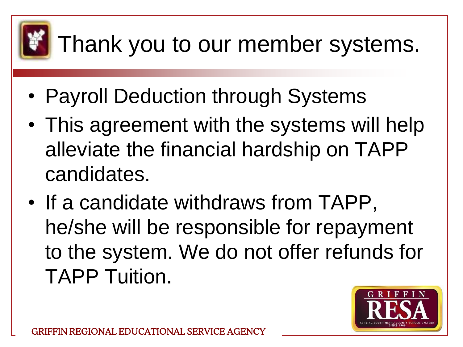

### Thank you to our member systems.

- Payroll Deduction through Systems
- This agreement with the systems will help alleviate the financial hardship on TAPP candidates.
- If a candidate withdraws from TAPP, he/she will be responsible for repayment to the system. We do not offer refunds for TAPP Tuition.

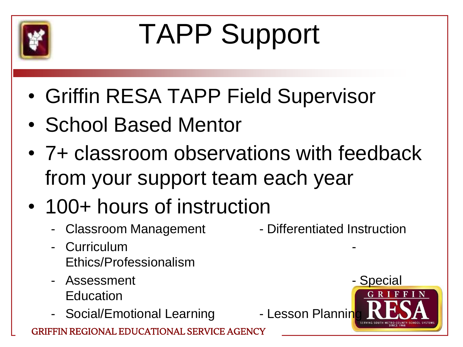

# TAPP Support

- Griffin RESA TAPP Field Supervisor
- School Based Mentor
- 7+ classroom observations with feedback from your support team each year
- 100+ hours of instruction
	- Classroom Management Differentiated Instruction
	- Curriculum Ethics/Professionalism
	- Assessment **Assessment Contract Contract Assessment Contract Contract Contract Contract Contract Contract Contract Contract Contract Contract Contract Contract Contract Contract Contract Contract Contract Contract Co** Education
	- Social/Emotional Learning Lesson Plannin

GRIFFIN REGIONAL EDUCATIONAL SERVICE AGENCY

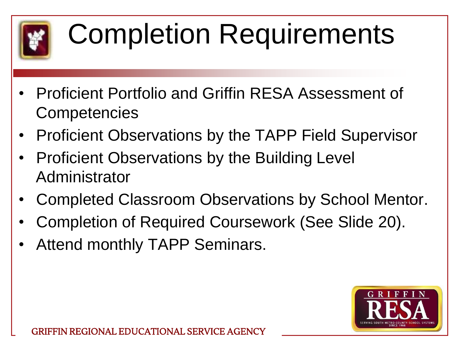

# Completion Requirements

- Proficient Portfolio and Griffin RESA Assessment of **Competencies**
- Proficient Observations by the TAPP Field Supervisor
- Proficient Observations by the Building Level Administrator
- Completed Classroom Observations by School Mentor.
- Completion of Required Coursework (See Slide 20).
- Attend monthly TAPP Seminars.

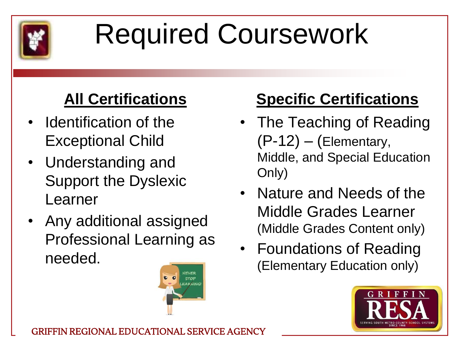

## Required Coursework

#### **All Certifications**

- Identification of the Exceptional Child
- Understanding and Support the Dyslexic Learner
- Any additional assigned Professional Learning as needed.



#### **Specific Certifications**

- The Teaching of Reading (P-12) – (Elementary, Middle, and Special Education Only)
- Nature and Needs of the Middle Grades Learner (Middle Grades Content only)
- Foundations of Reading (Elementary Education only)

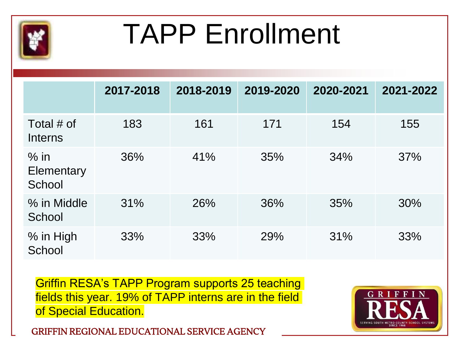

### TAPP Enrollment

|                                | 2017-2018 | 2018-2019 | 2019-2020 | 2020-2021 | 2021-2022 |
|--------------------------------|-----------|-----------|-----------|-----------|-----------|
| Total $#$ of<br><b>Interns</b> | 183       | 161       | 171       | 154       | 155       |
| $%$ in<br>Elementary<br>School | 36%       | 41%       | 35%       | 34%       | 37%       |
| % in Middle<br>School          | 31%       | 26%       | 36%       | 35%       | 30%       |
| % in High<br>School            | 33%       | 33%       | 29%       | 31%       | 33%       |

Griffin RESA's TAPP Program supports 25 teaching fields this year. 19% of TAPP interns are in the field of Special Education.

GRIFFIN REGIONAL EDUCATIONAL SERVICE AGENCY

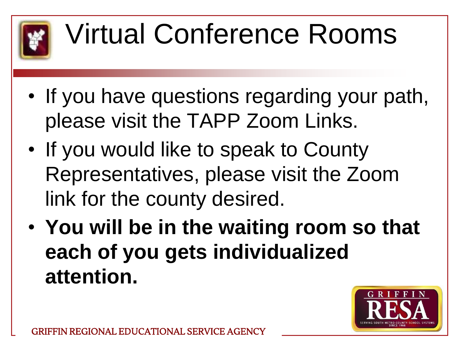

# Virtual Conference Rooms

- If you have questions regarding your path, please visit the TAPP Zoom Links.
- If you would like to speak to County Representatives, please visit the Zoom link for the county desired.
- **You will be in the waiting room so that each of you gets individualized attention.**

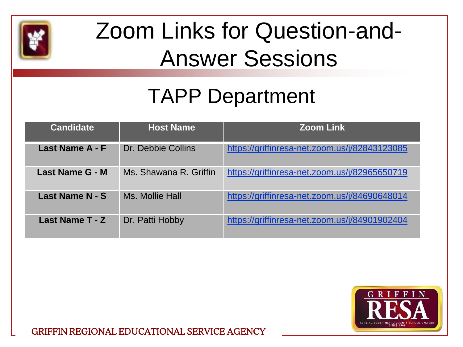

### Zoom Links for Question-and-Answer Sessions

### TAPP Department

| <b>Candidate</b>       | <b>Host Name</b>       | <b>IZoom Link</b> ∶                           |
|------------------------|------------------------|-----------------------------------------------|
| Last Name A - F        | Dr. Debbie Collins     | https://griffinresa-net.zoom.us/j/82843123085 |
| Last Name G - M        | Ms. Shawana R. Griffin | https://griffinresa-net.zoom.us/j/82965650719 |
| <b>Last Name N - S</b> | Ms. Mollie Hall        | https://griffinresa-net.zoom.us/j/84690648014 |
| Last Name T - Z        | Dr. Patti Hobby        | https://griffinresa-net.zoom.us/j/84901902404 |

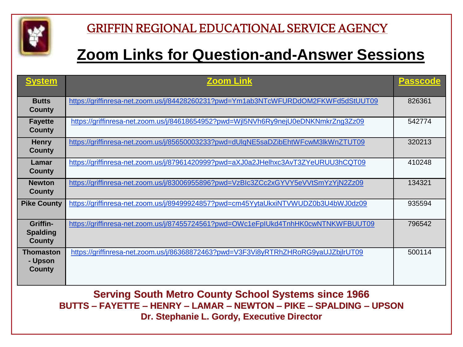

#### **Zoom Links for Question-and-Answer Sessions**

| ystem                                        | <b>Zoom Link</b>                                                                   | <b>Passcode</b> |
|----------------------------------------------|------------------------------------------------------------------------------------|-----------------|
| <b>Butts</b><br>County                       | https://griffinresa-net.zoom.us/j/84428260231?pwd=Ym1ab3NTcWFURDdOM2FKWFd5dStUUT09 | 826361          |
| <b>Fayette</b><br>County                     | https://griffinresa-net.zoom.us/j/84618654952?pwd=Wjl5NVh6Ry9nejU0eDNKNmkrZng3Zz09 | 542774          |
| <b>Henry</b><br><b>County</b>                | https://griffinresa-net.zoom.us/j/85650003233?pwd=dUlqNE5saDZibEhtWFcwM3lkWnZTUT09 | 320213          |
| Lamar<br><b>County</b>                       | https://griffinresa-net.zoom.us/j/87961420999?pwd=aXJ0a2JHelhxc3AvT3ZYeURUU3hCQT09 | 410248          |
| <b>Newton</b><br>County                      | https://griffinresa-net.zoom.us/j/83006955896?pwd=VzBlc3ZCc2xGYVY5eVVtSmYzYjN2Zz09 | 134321          |
| <b>Pike County</b>                           | https://griffinresa-net.zoom.us/j/89499924857?pwd=cm45YytaUkxiNTVWUDZ0b3U4bWJ0dz09 | 935594          |
| Griffin-<br><b>Spalding</b><br><b>County</b> | https://griffinresa-net.zoom.us/j/87455724561?pwd=OWc1eFpIUkd4TnhHK0cwNTNKWFBUUT09 | 796542          |
| <b>Thomaston</b><br>- Upson<br><b>County</b> | https://griffinresa-net.zoom.us/j/86368872463?pwd=V3F3Vi8yRTRhZHRoRG9yaUJZbjlrUT09 | 500114          |

**Serving South Metro County School Systems since 1966 BUTTS – FAYETTE – HENRY – LAMAR – NEWTON – PIKE – SPALDING – UPSON Dr. Stephanie L. Gordy, Executive Director**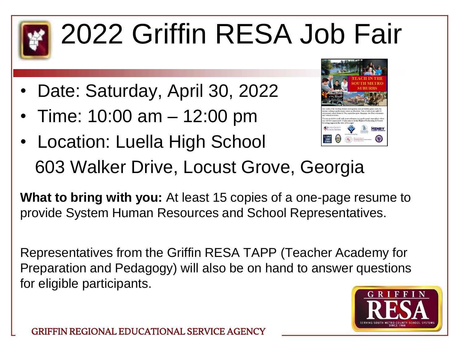

# 2022 Griffin RESA Job Fair

- Date: Saturday, April 30, 2022
- Time: 10:00 am 12:00 pm
- Location: Luella High School 603 Walker Drive, Locust Grove, Georgia

**What to bring with you:** At least 15 copies of a one-page resume to provide System Human Resources and School Representatives.

Representatives from the Griffin RESA TAPP (Teacher Academy for Preparation and Pedagogy) will also be on hand to answer questions for eligible participants.

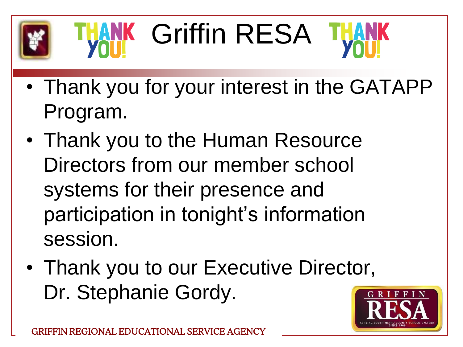



- Thank you for your interest in the GATAPP Program.
- Thank you to the Human Resource Directors from our member school systems for their presence and participation in tonight's information session.
- Thank you to our Executive Director, Dr. Stephanie Gordy.